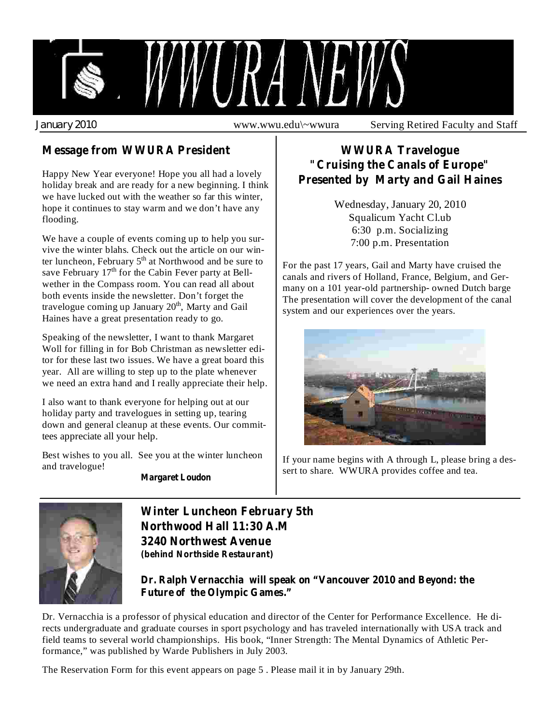

## **Message from WWURA President**

Happy New Year everyone! Hope you all had a lovely holiday break and are ready for a new beginning. I think we have lucked out with the weather so far this winter, hope it continues to stay warm and we don't have any flooding.

We have a couple of events coming up to help you survive the winter blahs. Check out the article on our winter luncheon, February 5<sup>th</sup> at Northwood and be sure to save February  $17<sup>th</sup>$  for the Cabin Fever party at Bellwether in the Compass room. You can read all about both events inside the newsletter. Don't forget the travelogue coming up January 20<sup>th</sup>, Marty and Gail Haines have a great presentation ready to go.

Speaking of the newsletter, I want to thank Margaret Woll for filling in for Bob Christman as newsletter editor for these last two issues. We have a great board this year. All are willing to step up to the plate whenever we need an extra hand and I really appreciate their help.

I also want to thank everyone for helping out at our holiday party and travelogues in setting up, tearing down and general cleanup at these events. Our committees appreciate all your help.

Best wishes to you all. See you at the winter luncheon and travelogue!

**Margaret Loudon**

## **WWURA Travelogue "Cruising the Canals of Europe" Presented by Marty and Gail Haines**

Wednesday, January 20, 2010 Squalicum Yacht Cl.ub 6:30 p.m. Socializing 7:00 p.m. Presentation

For the past 17 years, Gail and Marty have cruised the canals and rivers of Holland, France, Belgium, and Germany on a 101 year-old partnership- owned Dutch barge The presentation will cover the development of the canal system and our experiences over the years.



If your name begins with A through L, please bring a dessert to share. WWURA provides coffee and tea.



**Winter Luncheon February 5th Northwood Hall 11:30 A.M 3240 Northwest Avenue (behind Northside Restaurant)**

**Dr. Ralph Vernacchia will speak on "Vancouver 2010 and Beyond: the Future of the Olympic Games."**

Dr. Vernacchia is a professor of physical education and director of the Center for Performance Excellence. He directs undergraduate and graduate courses in sport psychology and has traveled internationally with USA track and field teams to several world championships. His book, "Inner Strength: The Mental Dynamics of Athletic Performance," was published by Warde Publishers in July 2003.

The Reservation Form for this event appears on page 5 . Please mail it in by January 29th.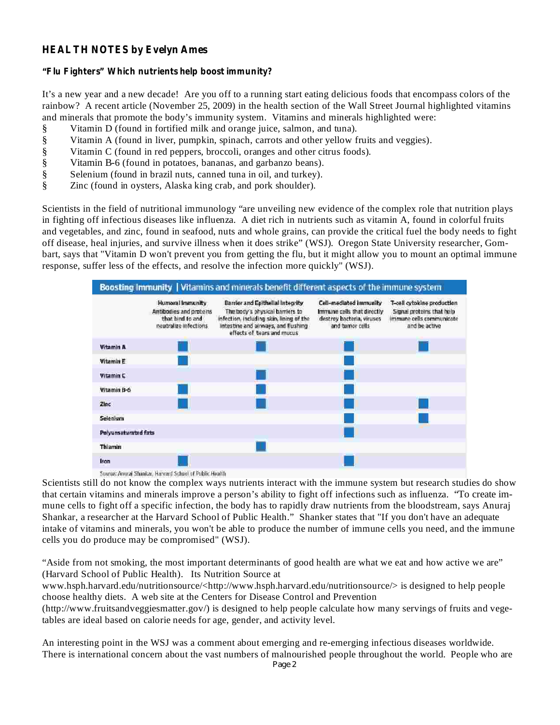#### **HEALTH NOTES by Evelyn Ames**

#### **"Flu Fighters" Which nutrients help boost immunity?**

It's a new year and a new decade! Are you off to a running start eating delicious foods that encompass colors of the rainbow? A recent article (November 25, 2009) in the health section of the Wall Street Journal highlighted vitamins and minerals that promote the body's immunity system. Vitamins and minerals highlighted were:

- § Vitamin D (found in fortified milk and orange juice, salmon, and tuna).
- § Vitamin A (found in liver, pumpkin, spinach, carrots and other yellow fruits and veggies).
- § Vitamin C (found in red peppers, broccoli, oranges and other citrus foods).
- § Vitamin B-6 (found in potatoes, bananas, and garbanzo beans).
- § Selenium (found in brazil nuts, canned tuna in oil, and turkey).
- § Zinc (found in oysters, Alaska king crab, and pork shoulder).

Scientists in the field of nutritional immunology "are unveiling new evidence of the complex role that nutrition plays in fighting off infectious diseases like influenza. A diet rich in nutrients such as vitamin A, found in colorful fruits and vegetables, and zinc, found in seafood, nuts and whole grains, can provide the critical fuel the body needs to fight off disease, heal injuries, and survive illness when it does strike" (WSJ). Oregon State University researcher, Gombart, says that "Vitamin D won't prevent you from getting the flu, but it might allow you to mount an optimal immune response, suffer less of the effects, and resolve the infection more quickly" (WSJ).



Source: Annual Shankar, Harvard School of Public Health

Scientists still do not know the complex ways nutrients interact with the immune system but research studies do show that certain vitamins and minerals improve a person's ability to fight off infections such as influenza. "To create immune cells to fight off a specific infection, the body has to rapidly draw nutrients from the bloodstream, says Anuraj Shankar, a researcher at the Harvard School of Public Health." Shanker states that "If you don't have an adequate intake of vitamins and minerals, you won't be able to produce the number of immune cells you need, and the immune cells you do produce may be compromised" (WSJ).

"Aside from not smoking, the most important determinants of good health are what we eat and how active we are" (Harvard School of Public Health). Its Nutrition Source at

www.hsph.harvard.edu/nutritionsource/<http://www.hsph.harvard.edu/nutritionsource/> is designed to help people choose healthy diets. A web site at the Centers for Disease Control and Prevention

(http://www.fruitsandveggiesmatter.gov/) is designed to help people calculate how many servings of fruits and vegetables are ideal based on calorie needs for age, gender, and activity level.

An interesting point in the WSJ was a comment about emerging and re-emerging infectious diseases worldwide. There is international concern about the vast numbers of malnourished people throughout the world. People who are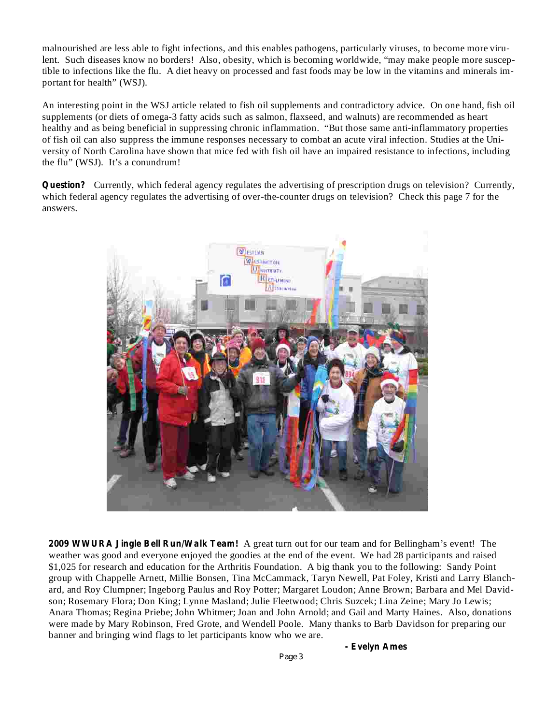malnourished are less able to fight infections, and this enables pathogens, particularly viruses, to become more virulent. Such diseases know no borders! Also, obesity, which is becoming worldwide, "may make people more susceptible to infections like the flu. A diet heavy on processed and fast foods may be low in the vitamins and minerals important for health" (WSJ).

An interesting point in the WSJ article related to fish oil supplements and contradictory advice. On one hand, fish oil supplements (or diets of omega-3 fatty acids such as salmon, flaxseed, and walnuts) are recommended as heart healthy and as being beneficial in suppressing chronic inflammation. "But those same anti-inflammatory properties of fish oil can also suppress the immune responses necessary to combat an acute viral infection. Studies at the University of North Carolina have shown that mice fed with fish oil have an impaired resistance to infections, including the flu" (WSJ). It's a conundrum!

Question? Currently, which federal agency regulates the advertising of prescription drugs on television? Currently, which federal agency regulates the advertising of over-the-counter drugs on television? Check this page 7 for the answers.



**2009 WWURA Jingle Bell Run/Walk Team!** A great turn out for our team and for Bellingham's event! The weather was good and everyone enjoyed the goodies at the end of the event. We had 28 participants and raised \$1,025 for research and education for the Arthritis Foundation. A big thank you to the following: Sandy Point group with Chappelle Arnett, Millie Bonsen, Tina McCammack, Taryn Newell, Pat Foley, Kristi and Larry Blanchard, and Roy Clumpner; Ingeborg Paulus and Roy Potter; Margaret Loudon; Anne Brown; Barbara and Mel Davidson; Rosemary Flora; Don King; Lynne Masland; Julie Fleetwood; Chris Suzcek; Lina Zeine; Mary Jo Lewis; Anara Thomas; Regina Priebe; John Whitmer; Joan and John Arnold; and Gail and Marty Haines. Also, donations were made by Mary Robinson, Fred Grote, and Wendell Poole. Many thanks to Barb Davidson for preparing our banner and bringing wind flags to let participants know who we are.

**- Evelyn Ames**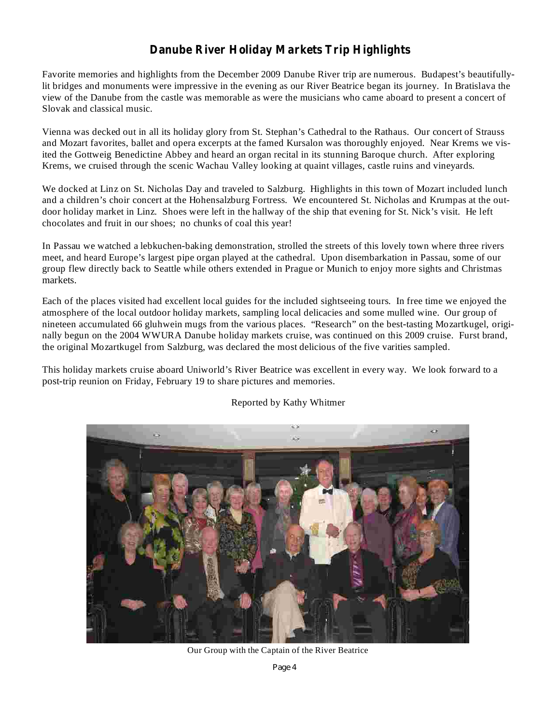## **Danube River Holiday Markets Trip Highlights**

Favorite memories and highlights from the December 2009 Danube River trip are numerous. Budapest's beautifullylit bridges and monuments were impressive in the evening as our River Beatrice began its journey. In Bratislava the view of the Danube from the castle was memorable as were the musicians who came aboard to present a concert of Slovak and classical music.

Vienna was decked out in all its holiday glory from St. Stephan's Cathedral to the Rathaus. Our concert of Strauss and Mozart favorites, ballet and opera excerpts at the famed Kursalon was thoroughly enjoyed. Near Krems we visited the Gottweig Benedictine Abbey and heard an organ recital in its stunning Baroque church. After exploring Krems, we cruised through the scenic Wachau Valley looking at quaint villages, castle ruins and vineyards.

We docked at Linz on St. Nicholas Day and traveled to Salzburg. Highlights in this town of Mozart included lunch and a children's choir concert at the Hohensalzburg Fortress. We encountered St. Nicholas and Krumpas at the outdoor holiday market in Linz. Shoes were left in the hallway of the ship that evening for St. Nick's visit. He left chocolates and fruit in our shoes; no chunks of coal this year!

In Passau we watched a lebkuchen-baking demonstration, strolled the streets of this lovely town where three rivers meet, and heard Europe's largest pipe organ played at the cathedral. Upon disembarkation in Passau, some of our group flew directly back to Seattle while others extended in Prague or Munich to enjoy more sights and Christmas markets.

Each of the places visited had excellent local guides for the included sightseeing tours. In free time we enjoyed the atmosphere of the local outdoor holiday markets, sampling local delicacies and some mulled wine. Our group of nineteen accumulated 66 gluhwein mugs from the various places. "Research" on the best-tasting Mozartkugel, originally begun on the 2004 WWURA Danube holiday markets cruise, was continued on this 2009 cruise. Furst brand, the original Mozartkugel from Salzburg, was declared the most delicious of the five varities sampled.

This holiday markets cruise aboard Uniworld's River Beatrice was excellent in every way. We look forward to a post-trip reunion on Friday, February 19 to share pictures and memories.



Reported by Kathy Whitmer

Our Group with the Captain of the River Beatrice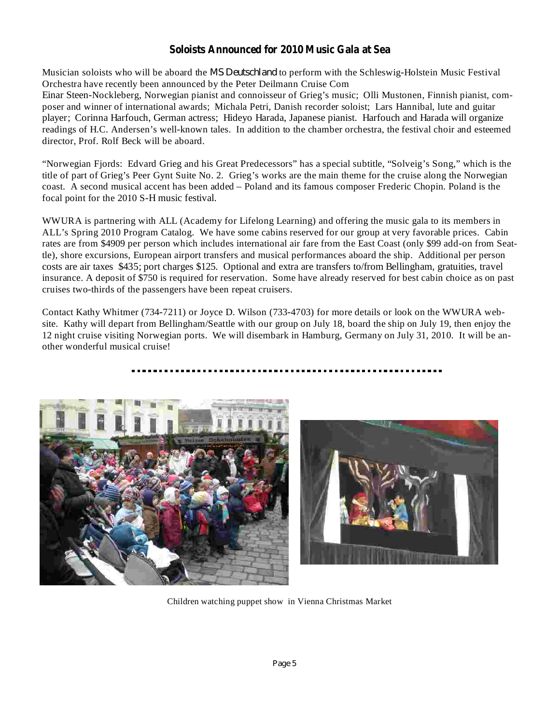#### **Soloists Announced for 2010 Music Gala at Sea**

Musician soloists who will be aboard the *MS Deutschland* to perform with the Schleswig-Holstein Music Festival Orchestra have recently been announced by the Peter Deilmann Cruise Com

Einar Steen-Nockleberg, Norwegian pianist and connoisseur of Grieg's music; Olli Mustonen, Finnish pianist, composer and winner of international awards; Michala Petri, Danish recorder soloist; Lars Hannibal, lute and guitar player; Corinna Harfouch, German actress; Hideyo Harada, Japanese pianist. Harfouch and Harada will organize readings of H.C. Andersen's well-known tales. In addition to the chamber orchestra, the festival choir and esteemed director, Prof. Rolf Beck will be aboard.

"Norwegian Fjords: Edvard Grieg and his Great Predecessors" has a special subtitle, "Solveig's Song," which is the title of part of Grieg's Peer Gynt Suite No. 2. Grieg's works are the main theme for the cruise along the Norwegian coast. A second musical accent has been added – Poland and its famous composer Frederic Chopin. Poland is the focal point for the 2010 S-H music festival.

WWURA is partnering with ALL (Academy for Lifelong Learning) and offering the music gala to its members in ALL's Spring 2010 Program Catalog. We have some cabins reserved for our group at very favorable prices. Cabin rates are from \$4909 per person which includes international air fare from the East Coast (only \$99 add-on from Seattle), shore excursions, European airport transfers and musical performances aboard the ship. Additional per person costs are air taxes \$435; port charges \$125. Optional and extra are transfers to/from Bellingham, gratuities, travel insurance. A deposit of \$750 is required for reservation. Some have already reserved for best cabin choice as on past cruises two-thirds of the passengers have been repeat cruisers.

Contact Kathy Whitmer (734-7211) or Joyce D. Wilson (733-4703) for more details or look on the WWURA website. Kathy will depart from Bellingham/Seattle with our group on July 18, board the ship on July 19, then enjoy the 12 night cruise visiting Norwegian ports. We will disembark in Hamburg, Germany on July 31, 2010. It will be another wonderful musical cruise!





Children watching puppet show in Vienna Christmas Market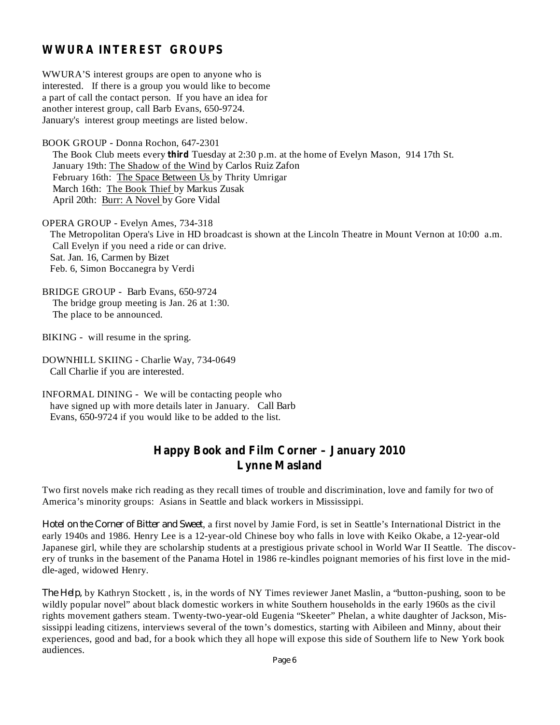#### **WWURA INTEREST GROUPS**

WWURA'S interest groups are open to anyone who is interested. If there is a group you would like to become a part of call the contact person. If you have an idea for another interest group, call Barb Evans, 650-9724. January's interest group meetings are listed below.

BOOK GROUP - Donna Rochon, 647-2301

The Book Club meets every **third** Tuesday at 2:30 p.m. at the home of Evelyn Mason, 914 17th St. January 19th: The Shadow of the Wind by Carlos Ruiz Zafon February 16th: The Space Between Us by Thrity Umrigar March 16th: The Book Thief by Markus Zusak April 20th: Burr: A Novel by Gore Vidal

OPERA GROUP - Evelyn Ames, 734-318 The Metropolitan Opera's Live in HD broadcast is shown at the Lincoln Theatre in Mount Vernon at 10:00 a.m. Call Evelyn if you need a ride or can drive. Sat. Jan. 16, Carmen by Bizet Feb. 6, Simon Boccanegra by Verdi

BRIDGE GROUP - Barb Evans, 650-9724 The bridge group meeting is Jan. 26 at 1:30. The place to be announced.

BIKING - will resume in the spring.

DOWNHILL SKIING - Charlie Way, 734-0649 Call Charlie if you are interested.

INFORMAL DINING - We will be contacting people who have signed up with more details later in January. Call Barb Evans, 650-9724 if you would like to be added to the list.

#### **Happy Book and Film Corner – January 2010 Lynne Masland**

Two first novels make rich reading as they recall times of trouble and discrimination, love and family for two of America's minority groups: Asians in Seattle and black workers in Mississippi.

Hotel on the Corner of Bitter and Sweet, a first novel by Jamie Ford, is set in Seattle's International District in the early 1940s and 1986. Henry Lee is a 12-year-old Chinese boy who falls in love with Keiko Okabe, a 12-year-old Japanese girl, while they are scholarship students at a prestigious private school in World War II Seattle. The discovery of trunks in the basement of the Panama Hotel in 1986 re-kindles poignant memories of his first love in the middle-aged, widowed Henry.

by Kathryn Stockett , is, in the words of NY Times reviewer Janet Maslin, a "button-pushing, soon to be *The Help,* wildly popular novel" about black domestic workers in white Southern households in the early 1960s as the civil rights movement gathers steam. Twenty-two-year-old Eugenia "Skeeter" Phelan, a white daughter of Jackson, Mississippi leading citizens, interviews several of the town's domestics, starting with Aibileen and Minny, about their experiences, good and bad, for a book which they all hope will expose this side of Southern life to New York book audiences.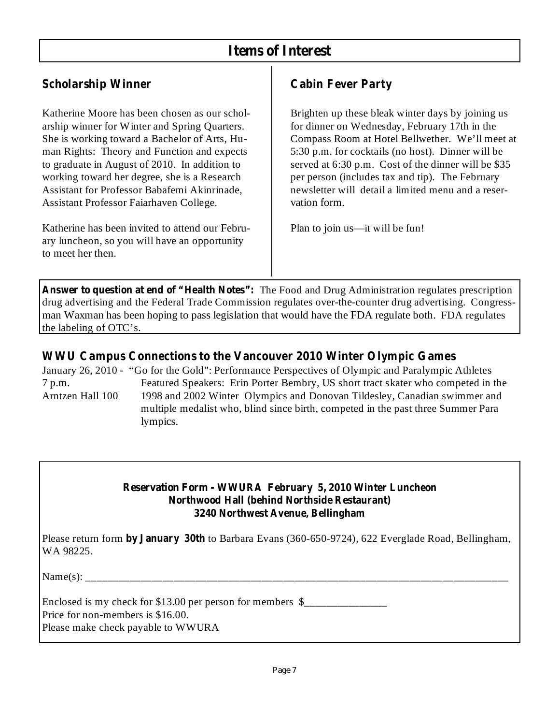## **Items of Interest**

## **Scholarship Winner**

Katherine Moore has been chosen as our scholarship winner for Winter and Spring Quarters. She is working toward a Bachelor of Arts, Human Rights: Theory and Function and expects to graduate in August of 2010. In addition to working toward her degree, she is a Research Assistant for Professor Babafemi Akinrinade, Assistant Professor Faiarhaven College.

Katherine has been invited to attend our February luncheon, so you will have an opportunity to meet her then.

## **Cabin Fever Party**

Brighten up these bleak winter days by joining us for dinner on Wednesday, February 17th in the Compass Room at Hotel Bellwether. We'll meet at 5:30 p.m. for cocktails (no host). Dinner will be served at 6:30 p.m. Cost of the dinner will be \$35 per person (includes tax and tip). The February newsletter will detail a limited menu and a reservation form.

Plan to join us—it will be fun!

**Answer to question at end of "Health Notes":** The Food and Drug Administration regulates prescription drug advertising and the Federal Trade Commission regulates over-the-counter drug advertising. Congressman Waxman has been hoping to pass legislation that would have the FDA regulate both. FDA regulates the labeling of OTC's.

#### **WWU Campus Connections to the Vancouver 2010 Winter Olympic Games**

January 26, 2010 - "Go for the Gold": Performance Perspectives of Olympic and Paralympic Athletes 7 p.m. Featured Speakers: Erin Porter Bembry, US short tract skater who competed in the Arntzen Hall 100 1998 and 2002 Winter Olympics and Donovan Tildesley, Canadian swimmer and multiple medalist who, blind since birth, competed in the past three Summer Para lympics.

#### **Reservation Form - WWURA February 5, 2010 Winter Luncheon Northwood Hall (behind Northside Restaurant) 3240 Northwest Avenue, Bellingham**

Please return form by January 30th to Barbara Evans (360-650-9724), 622 Everglade Road, Bellingham, WA 98225.

Name(s): \_\_\_\_\_\_\_\_\_\_\_\_\_\_\_\_\_\_\_\_\_\_\_\_\_\_\_\_\_\_\_\_\_\_\_\_\_\_\_\_\_\_\_\_\_\_\_\_\_\_\_\_\_\_\_\_\_\_\_\_\_\_\_\_\_\_\_\_\_\_\_\_\_\_\_\_\_

Enclosed is my check for \$13.00 per person for members  $\frac{1}{2}$ Price for non-members is \$16.00. Please make check payable to WWURA